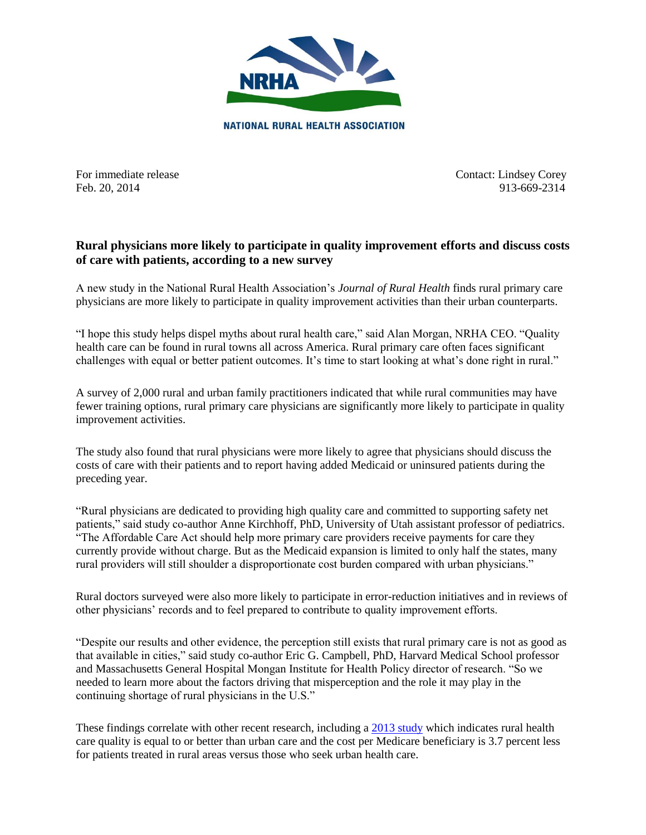

For immediate release Contact: Lindsey Corey Feb. 20, 2014 913-669-2314

## **Rural physicians more likely to participate in quality improvement efforts and discuss costs of care with patients, according to a new survey**

A new study in the National Rural Health Association's *Journal of Rural Health* finds rural primary care physicians are more likely to participate in quality improvement activities than their urban counterparts.

"I hope this study helps dispel myths about rural health care," said Alan Morgan, NRHA CEO. "Quality health care can be found in rural towns all across America. Rural primary care often faces significant challenges with equal or better patient outcomes. It's time to start looking at what's done right in rural."

A survey of 2,000 rural and urban family practitioners indicated that while rural communities may have fewer training options, rural primary care physicians are significantly more likely to participate in quality improvement activities.

The study also found that rural physicians were more likely to agree that physicians should discuss the costs of care with their patients and to report having added Medicaid or uninsured patients during the preceding year.

"Rural physicians are dedicated to providing high quality care and committed to supporting safety net patients," said study co-author Anne Kirchhoff, PhD, University of Utah assistant professor of pediatrics. "The Affordable Care Act should help more primary care providers receive payments for care they currently provide without charge. But as the Medicaid expansion is limited to only half the states, many rural providers will still shoulder a disproportionate cost burden compared with urban physicians."

Rural doctors surveyed were also more likely to participate in error-reduction initiatives and in reviews of other physicians' records and to feel prepared to contribute to quality improvement efforts.

"Despite our results and other evidence, the perception still exists that rural primary care is not as good as that available in cities," said study co-author Eric G. Campbell, PhD, Harvard Medical School professor and Massachusetts General Hospital Mongan Institute for Health Policy director of research. "So we needed to learn more about the factors driving that misperception and the role it may play in the continuing shortage of rural physicians in the U.S."

These findings correlate with other recent research, including a [2013](https://www.ivantagehealth.com/wp-content/uploads/2013/09/6th-Annual-ED-Study-vF2.pdf) study which indicates rural health care quality is equal to or better than urban care and the cost per Medicare beneficiary is 3.7 percent less for patients treated in rural areas versus those who seek urban health care.